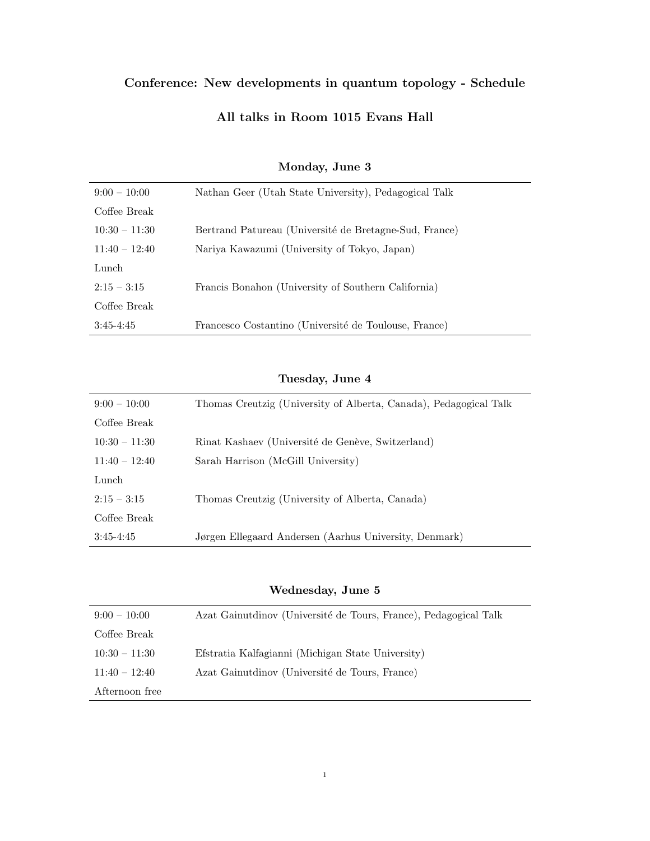# Conference: New developments in quantum topology - Schedule

## All talks in Room 1015 Evans Hall

| $9:00-10:00$    | Nathan Geer (Utah State University), Pedagogical Talk  |
|-----------------|--------------------------------------------------------|
| Coffee Break    |                                                        |
| $10:30 - 11:30$ | Bertrand Patureau (Université de Bretagne-Sud, France) |
| $11:40 - 12:40$ | Nariya Kawazumi (University of Tokyo, Japan)           |
| Lunch           |                                                        |
| $2:15 - 3:15$   | Francis Bonahon (University of Southern California)    |
| Coffee Break    |                                                        |
| $3:45-4:45$     | Francesco Costantino (Université de Toulouse, France)  |

### Monday, June 3

#### Tuesday, June 4

| $9:00-10:00$    | Thomas Creutzig (University of Alberta, Canada), Pedagogical Talk |
|-----------------|-------------------------------------------------------------------|
| Coffee Break    |                                                                   |
| $10:30 - 11:30$ | Rinat Kashaev (Université de Genève, Switzerland)                 |
| $11:40 - 12:40$ | Sarah Harrison (McGill University)                                |
| Lunch           |                                                                   |
| $2:15 - 3:15$   | Thomas Creutzig (University of Alberta, Canada)                   |
| Coffee Break    |                                                                   |
| $3:45-4:45$     | Jørgen Ellegaard Andersen (Aarhus University, Denmark)            |

### Wednesday, June 5

| $9:00-10:00$    | Azat Gainutdinov (Université de Tours, France), Pedagogical Talk |
|-----------------|------------------------------------------------------------------|
| Coffee Break    |                                                                  |
| $10:30 - 11:30$ | Efstratia Kalfagianni (Michigan State University)                |
| $11:40 - 12:40$ | Azat Gainutdinov (Université de Tours, France)                   |
| Afternoon free  |                                                                  |